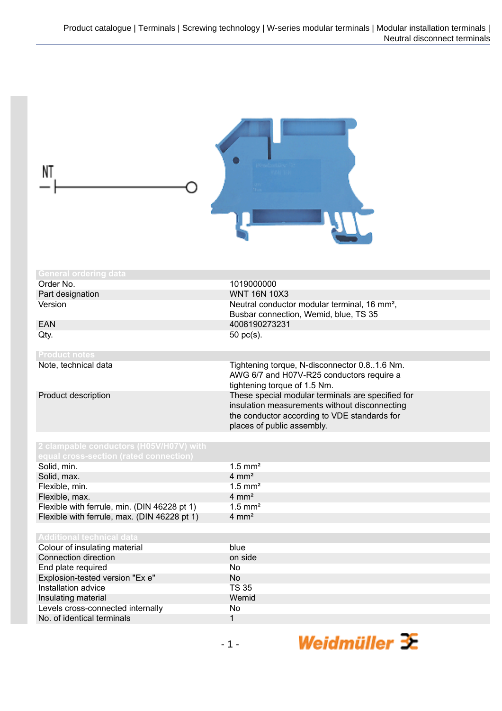| NT                                                                                |                                                                                                                                                                                  |
|-----------------------------------------------------------------------------------|----------------------------------------------------------------------------------------------------------------------------------------------------------------------------------|
| <b>General ordering data</b>                                                      |                                                                                                                                                                                  |
| Order No.                                                                         | 1019000000                                                                                                                                                                       |
| Part designation                                                                  | <b>WNT 16N 10X3</b>                                                                                                                                                              |
| Version                                                                           | Neutral conductor modular terminal, 16 mm <sup>2</sup> ,<br>Busbar connection, Wemid, blue, TS 35                                                                                |
| <b>EAN</b>                                                                        | 4008190273231                                                                                                                                                                    |
| Qty.                                                                              | 50 pc(s).                                                                                                                                                                        |
| <b>Product notes</b>                                                              |                                                                                                                                                                                  |
| Note, technical data                                                              | Tightening torque, N-disconnector 0.81.6 Nm.<br>AWG 6/7 and H07V-R25 conductors require a<br>tightening torque of 1.5 Nm.                                                        |
| Product description                                                               | These special modular terminals are specified for<br>insulation measurements without disconnecting<br>the conductor according to VDE standards for<br>places of public assembly. |
| 2 clampable conductors (H05V/H07V) with<br>equal cross-section (rated connection) |                                                                                                                                                                                  |
| Solid, min.                                                                       | $1.5$ mm <sup>2</sup>                                                                                                                                                            |
| Solid, max.                                                                       | $4 \, \text{mm}^2$                                                                                                                                                               |
| Flexible, min.                                                                    | $1.5$ mm <sup>2</sup>                                                                                                                                                            |
| Flexible, max.                                                                    | $4 \, \text{mm}^2$                                                                                                                                                               |
| Flexible with ferrule, min. (DIN 46228 pt 1)                                      | $1.5$ mm <sup>2</sup>                                                                                                                                                            |
| Flexible with ferrule, max. (DIN 46228 pt 1)                                      | $4 \, \text{mm}^2$                                                                                                                                                               |
| <b>Additional technical data</b>                                                  |                                                                                                                                                                                  |
| Colour of insulating material                                                     | blue                                                                                                                                                                             |
| Connection direction                                                              | on side                                                                                                                                                                          |
| End plate required                                                                | No                                                                                                                                                                               |
| Explosion-tested version "Ex e"                                                   | No                                                                                                                                                                               |
| Installation advice                                                               | <b>TS 35</b>                                                                                                                                                                     |
| Insulating material                                                               | Wemid                                                                                                                                                                            |
| Levels cross-connected internally<br>No. of identical terminals                   | No<br>$\mathbf{1}$                                                                                                                                                               |
|                                                                                   |                                                                                                                                                                                  |

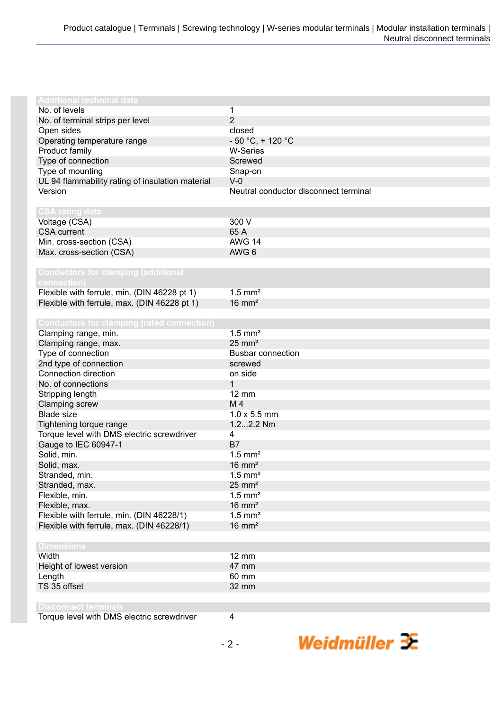| <b>Additional technical data</b>                  |                                       |
|---------------------------------------------------|---------------------------------------|
| No. of levels                                     | 1                                     |
| No. of terminal strips per level                  | $\overline{2}$                        |
| Open sides                                        | closed                                |
| Operating temperature range                       | $-50 °C$ , + 120 °C                   |
| Product family                                    | <b>W-Series</b>                       |
| Type of connection                                | Screwed                               |
| Type of mounting                                  | Snap-on                               |
| UL 94 flammability rating of insulation material  | $V-0$                                 |
| Version                                           | Neutral conductor disconnect terminal |
|                                                   |                                       |
| <b>CSA rating data</b>                            |                                       |
| Voltage (CSA)                                     | 300 V                                 |
| <b>CSA</b> current                                | 65 A                                  |
| Min. cross-section (CSA)                          | <b>AWG 14</b>                         |
| Max. cross-section (CSA)                          | AWG <sub>6</sub>                      |
|                                                   |                                       |
| <b>Conductors for clamping (additional</b>        |                                       |
| connection)                                       |                                       |
| Flexible with ferrule, min. (DIN 46228 pt 1)      | $1.5$ mm <sup>2</sup>                 |
| Flexible with ferrule, max. (DIN 46228 pt 1)      | $16 \text{ mm}^2$                     |
|                                                   |                                       |
| <b>Conductors for clamping (rated connection)</b> |                                       |
| Clamping range, min.                              | $1.5$ mm <sup>2</sup>                 |
| Clamping range, max.                              | $25 \text{ mm}^2$                     |
| Type of connection                                | <b>Busbar connection</b>              |
| 2nd type of connection                            | screwed                               |
| Connection direction                              | on side                               |
| No. of connections                                | 1                                     |
| Stripping length                                  | <b>12 mm</b>                          |
| Clamping screw                                    | M <sub>4</sub>                        |
| <b>Blade size</b>                                 | $1.0 \times 5.5$ mm                   |
| Tightening torque range                           | 1.22.2 Nm                             |
| Torque level with DMS electric screwdriver        | $\overline{4}$                        |
| Gauge to IEC 60947-1                              | B7                                    |
| Solid, min.                                       | $1.5$ mm <sup>2</sup>                 |
|                                                   |                                       |
| Solid, max.                                       | $16 \text{ mm}^2$                     |
| Stranded, min.                                    | $1.5$ mm <sup>2</sup>                 |
| Stranded, max.                                    | $25 \text{ mm}^2$                     |
| Flexible, min.                                    | $1.5$ mm <sup>2</sup>                 |
| Flexible, max.                                    | $16 \text{ mm}^2$                     |
| Flexible with ferrule, min. (DIN 46228/1)         | $1.5$ mm <sup>2</sup>                 |
| Flexible with ferrule, max. (DIN 46228/1)         | $16 \text{ mm}^2$                     |
|                                                   |                                       |
| <b>Dimensions</b>                                 |                                       |
| Width                                             | $12 \, \text{mm}$                     |
| Height of lowest version                          | 47 mm                                 |
| Length                                            | 60 mm                                 |
| TS 35 offset                                      | 32 mm                                 |
|                                                   |                                       |
| <b>Disconnect terminals</b>                       |                                       |
| Torque level with DMS electric screwdriver        | $\overline{\mathbf{4}}$               |

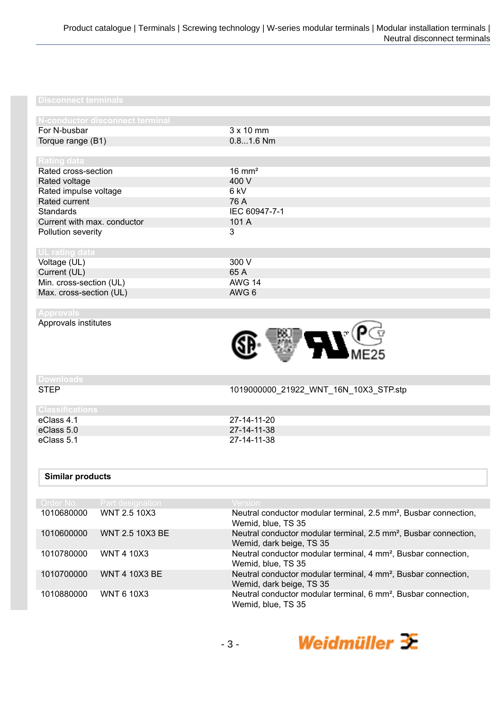| N-conductor disconnect terminal |                   |
|---------------------------------|-------------------|
| For N-busbar                    | $3 \times 10$ mm  |
| Torque range (B1)               | $0.81.6$ Nm       |
|                                 |                   |
| Rating data                     |                   |
| Rated cross-section             | $16 \text{ mm}^2$ |
| Rated voltage                   | 400 V             |
| Rated impulse voltage           | 6 kV              |
| Rated current                   | 76 A              |
| Standards                       | IEC 60947-7-1     |
| Current with max. conductor     | 101 A             |
| Pollution severity              | 3                 |
|                                 |                   |
| UL rating data                  |                   |
| Voltage (UL)                    | 300 V             |
| Current (UL)                    | 65 A              |
| Min. cross-section (UL)         | <b>AWG 14</b>     |
| Max. cross-section (UL)         | AWG 6             |

Approvals institutes



STEP 1019000000\_21922\_WNT\_16N\_10X3\_STP.stp

# **Downloads**

# **Classifications**

eClass 4.1 27-14-11-20<br>
eClass 5.0 27-14-11-38 eClass 5.0 27-14-11-38

## **Similar products**

| Order No.  | <b>Part designation</b> | <b>Version</b>                                                                                           |
|------------|-------------------------|----------------------------------------------------------------------------------------------------------|
| 1010680000 | <b>WNT 2.5 10X3</b>     | Neutral conductor modular terminal, 2.5 mm <sup>2</sup> , Busbar connection,<br>Wemid, blue, TS 35       |
| 1010600000 | WNT 2.5 10X3 BE         | Neutral conductor modular terminal, 2.5 mm <sup>2</sup> , Busbar connection,<br>Wemid, dark beige, TS 35 |
| 1010780000 | WNT 4 10X3              | Neutral conductor modular terminal, 4 mm <sup>2</sup> , Busbar connection,<br>Wemid, blue, TS 35         |
| 1010700000 | <b>WNT 4 10X3 BE</b>    | Neutral conductor modular terminal, 4 mm <sup>2</sup> , Busbar connection,<br>Wemid, dark beige, TS 35   |
| 1010880000 | <b>WNT 6 10X3</b>       | Neutral conductor modular terminal, 6 mm <sup>2</sup> , Busbar connection,<br>Wemid, blue, TS 35         |

eClass 5.1 27-14-11-38